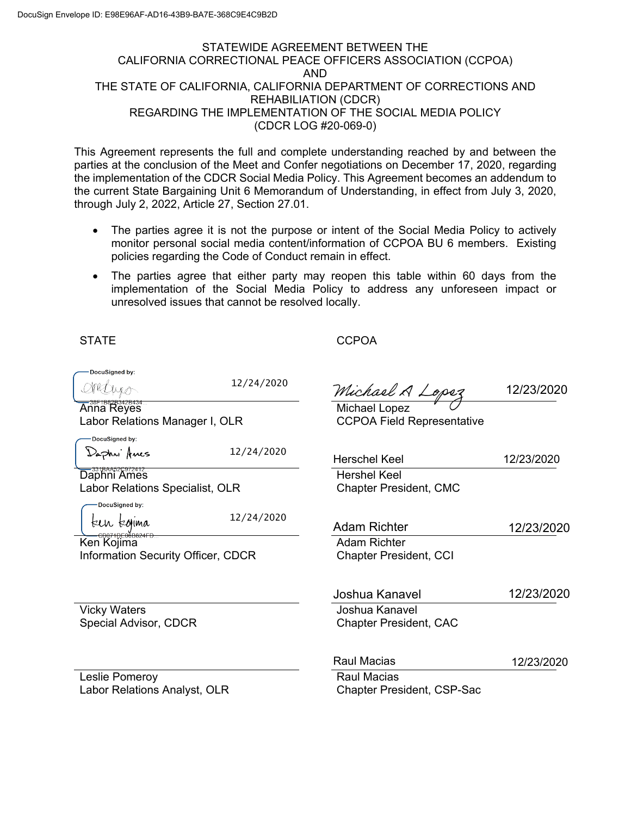# STATEWIDE AGREEMENT BETWEEN THE CALIFORNIA CORRECTIONAL PEACE OFFICERS ASSOCIATION (CCPOA) AND THE STATE OF CALIFORNIA, CALIFORNIA DEPARTMENT OF CORRECTIONS AND REHABILIATION (CDCR) REGARDING THE IMPLEMENTATION OF THE SOCIAL MEDIA POLICY (CDCR LOG #20-069-0)

This Agreement represents the full and complete understanding reached by and between the parties at the conclusion of the Meet and Confer negotiations on December 17, 2020, regarding the implementation of the CDCR Social Media Policy. This Agreement becomes an addendum to the current State Bargaining Unit 6 Memorandum of Understanding, in effect from July 3, 2020, through July 2, 2022, Article 27, Section 27.01.

- monitor personal social media content/information of CCPOA BU 6 members. Existing The parties agree it is not the purpose or intent of the Social Media Policy to actively policies regarding the Code of Conduct remain in effect.
- The parties agree that either party may reopen this table within 60 days from the implementation of the Social Media Policy to address any unforeseen impact or unresolved issues that cannot be resolved locally.

**STATE** 

**CCPOA** 

| DocuSigned by:                            |            |                                   |            |  |
|-------------------------------------------|------------|-----------------------------------|------------|--|
|                                           | 12/24/2020 | Michael A Lopez<br>Michael Lopez  | 12/23/2020 |  |
| Anna Reyes                                |            |                                   |            |  |
| Labor Relations Manager I, OLR            |            | <b>CCPOA Field Representative</b> |            |  |
| DocuSigned by:                            |            |                                   |            |  |
| Daphri Anes                               | 12/24/2020 |                                   |            |  |
|                                           |            | Herschel Keel                     | 12/23/2020 |  |
| Daphni Ames                               |            | Hershel Keel                      |            |  |
| Labor Relations Specialist, OLR           |            | <b>Chapter President, CMC</b>     |            |  |
| DocuSigned by:                            |            |                                   |            |  |
| keu kohma                                 | 12/24/2020 |                                   |            |  |
|                                           |            | <b>Adam Richter</b>               | 12/23/2020 |  |
| Ken Kojima                                |            | <b>Adam Richter</b>               |            |  |
| <b>Information Security Officer, CDCR</b> |            | <b>Chapter President, CCI</b>     |            |  |
|                                           |            |                                   |            |  |
|                                           |            | Joshua Kanavel                    | 12/23/2020 |  |
| <b>Vicky Waters</b>                       |            | Joshua Kanavel                    |            |  |
| Special Advisor, CDCR                     |            | <b>Chapter President, CAC</b>     |            |  |
|                                           |            |                                   |            |  |
|                                           |            | <b>Raul Macias</b>                | 12/23/2020 |  |
| Leslie Pomeroy                            |            | <b>Raul Macias</b>                |            |  |
| Labor Relations Analyst, OLR              |            | <b>Chapter President, CSP-Sac</b> |            |  |
|                                           |            |                                   |            |  |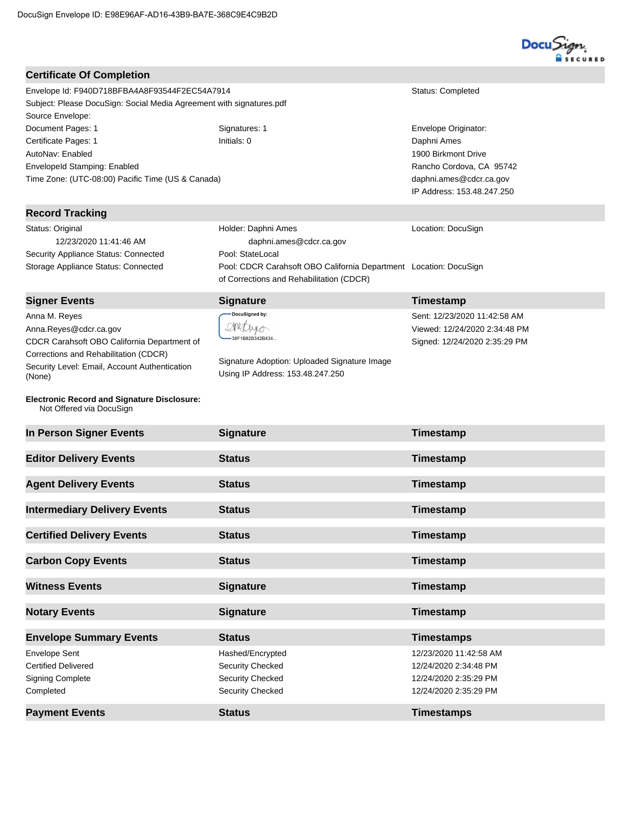## **Certificate Of Completion**

Envelope Id: F940D718BFBA4A8F93544F2EC54A7914 Status: Completed Subject: Please DocuSign: Social Media Agreement with signatures.pdf Source Envelope: Document Pages: 1 Signatures: 1 Signatures: 1 Envelope Originator: Certificate Pages: 1 **Initials: 0** Daphni Ames AutoNav: Enabled EnvelopeId Stamping: Enabled Time Zone: (UTC-08:00) Pacific Time (US & Canada)

## **Record Tracking**

Status: Original 12/23/2020 11:41:46 AM Security Appliance Status: Connected Pool: StateLocal

 daphni.ames@cdcr.ca.gov Storage Appliance Status: Connected Pool: CDCR Carahsoft OBO California Department Location: DocuSign of Corrections and Rehabilitation (CDCR)

## **Signer Events Signature Construction Construction Construction Construction Construction Construction Construction Construction Construction Construction Construction Construction Construction Construction Constructio**

Anna M. Reyes Anna.Reyes@cdcr.ca.gov CDCR Carahsoft OBO California Department of Corrections and Rehabilitation (CDCR) Security Level: Email, Account Authentication (None)

#### **Electronic Record and Signature Disclosure:**  Not Offered via DocuSign

OPULULO

Holder: Daphni Ames

DocuSigned by:

Signature Adoption: Uploaded Signature Image Using IP Address: 153.48.247.250

1900 Birkmont Drive Rancho Cordova, CA 95742 daphni.ames@cdcr.ca.gov IP Address: 153.48.247.250

Location: DocuSign

| Sent: 12/23/2020 11:42:58 AM  |
|-------------------------------|
| Viewed: 12/24/2020 2:34:48 PM |
| Signed: 12/24/2020 2:35:29 PM |

| <b>Certified Delivery Events</b> | <b>Status</b>           | Timestamp              |
|----------------------------------|-------------------------|------------------------|
| <b>Carbon Copy Events</b>        | <b>Status</b>           | Timestamp              |
|                                  |                         |                        |
| <b>Witness Events</b>            | <b>Signature</b>        | Timestamp              |
| <b>Notary Events</b>             | <b>Signature</b>        | Timestamp              |
| <b>Envelope Summary Events</b>   | <b>Status</b>           | <b>Timestamps</b>      |
| <b>Envelope Sent</b>             | Hashed/Encrypted        | 12/23/2020 11:42:58 AM |
| <b>Certified Delivered</b>       | Security Checked        | 12/24/2020 2:34:48 PM  |
| <b>Signing Complete</b>          | <b>Security Checked</b> | 12/24/2020 2:35:29 PM  |
| Completed                        | <b>Security Checked</b> | 12/24/2020 2:35:29 PM  |

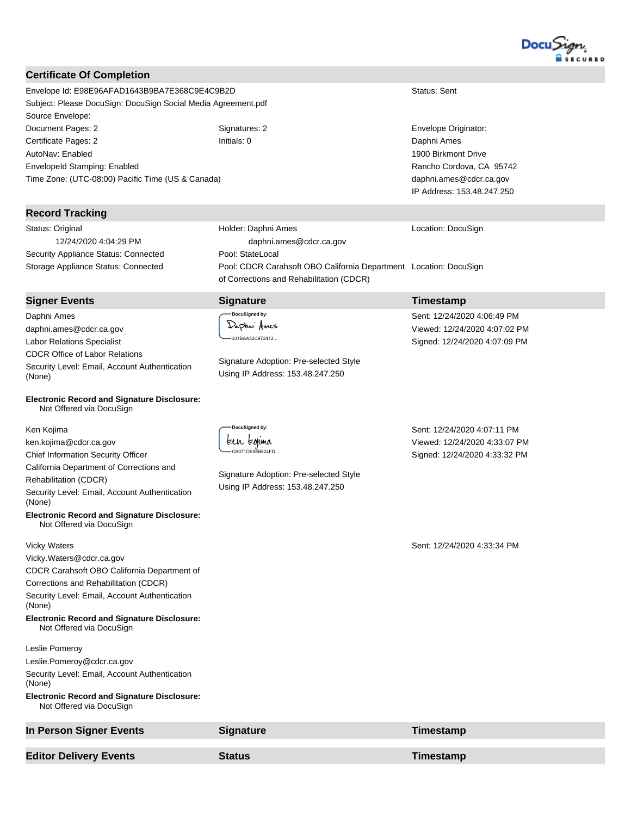

## **Certificate Of Completion**

Envelope Id: E98E96AFAD1643B9BA7E368C9E4C9B2D Status: Sent Subject: Please DocuSign: DocuSign Social Media Agreement.pdf Source Envelope: Document Pages: 2 Signatures: 2 Signatures: 2 Envelope Originator: Certificate Pages: 2 **Initials: 0** Daphni Ames AutoNav: Enabled EnvelopeId Stamping: Enabled Time Zone: (UTC-08:00) Pacific Time (US & Canada)

### **Record Tracking**

Status: Original 12/24/2020 4:04:29 PM Security Appliance Status: Connected Pool: StateLocal Storage Appliance Status: Connected Pool: CDCR Carahsoft OBO California Department Location: DocuSign

**Signer Events Signature Construction Construction Construction Construction Construction Construction Construction Construction Construction Construction Construction Construction Construction Construction Constructio** Daphni Ames daphni.ames@cdcr.ca.gov Labor Relations Specialist CDCR Office of Labor Relations Security Level: Email, Account Authentication (None)

**Electronic Record and Signature Disclosure:**  Not Offered via DocuSign

Ken Kojima ken.kojima@cdcr.ca.gov Chief Information Security Officer California Department of Corrections and Rehabilitation (CDCR) Security Level: Email, Account Authentication (None)

**Electronic Record and Signature Disclosure:**  Not Offered via DocuSign

#### Vicky Waters

Vicky.Waters@cdcr.ca.gov CDCR Carahsoft OBO California Department of

Corrections and Rehabilitation (CDCR)

Security Level: Email, Account Authentication (None)

#### **Electronic Record and Signature Disclosure:**  Not Offered via DocuSign

Leslie Pomeroy

Leslie.Pomeroy@cdcr.ca.gov

Security Level: Email, Account Authentication (None)

### **Electronic Record and Signature Disclosure:**  Not Offered via DocuSign

**In Person Signer Events Signature Construction Signature Timestamp Editor Delivery Events Status Timestamp**

1900 Birkmont Drive Rancho Cordova, CA 95742 daphni.ames@cdcr.ca.gov IP Address: 153.48.247.250

Location: DocuSign

of Corrections and Rehabilitation (CDCR)

Sent: 12/24/2020 4:06:49 PM Viewed: 12/24/2020 4:07:02 PM Signed: 12/24/2020 4:07:09 PM

Docusigned by:<br>Felh Egfima  $-CB071DE06B824FD.$ 

~

DocuSigned by: Daphn<sup>.</sup> Arres -331 BAA52C972412...

Holder: Daphni Ames

daphni.ames@cdcr.ca.gov

Signature Adoption: Pre-selected Style Using IP Address: 153.48.247.250

Signature Adoption: Pre-selected Style Using IP Address: 153.48.247.250

Sent: 12/24/2020 4:33:34 PM

Sent: 12/24/2020 4:07:11 PM Viewed: 12/24/2020 4:33:07 PM Signed: 12/24/2020 4:33:32 PM